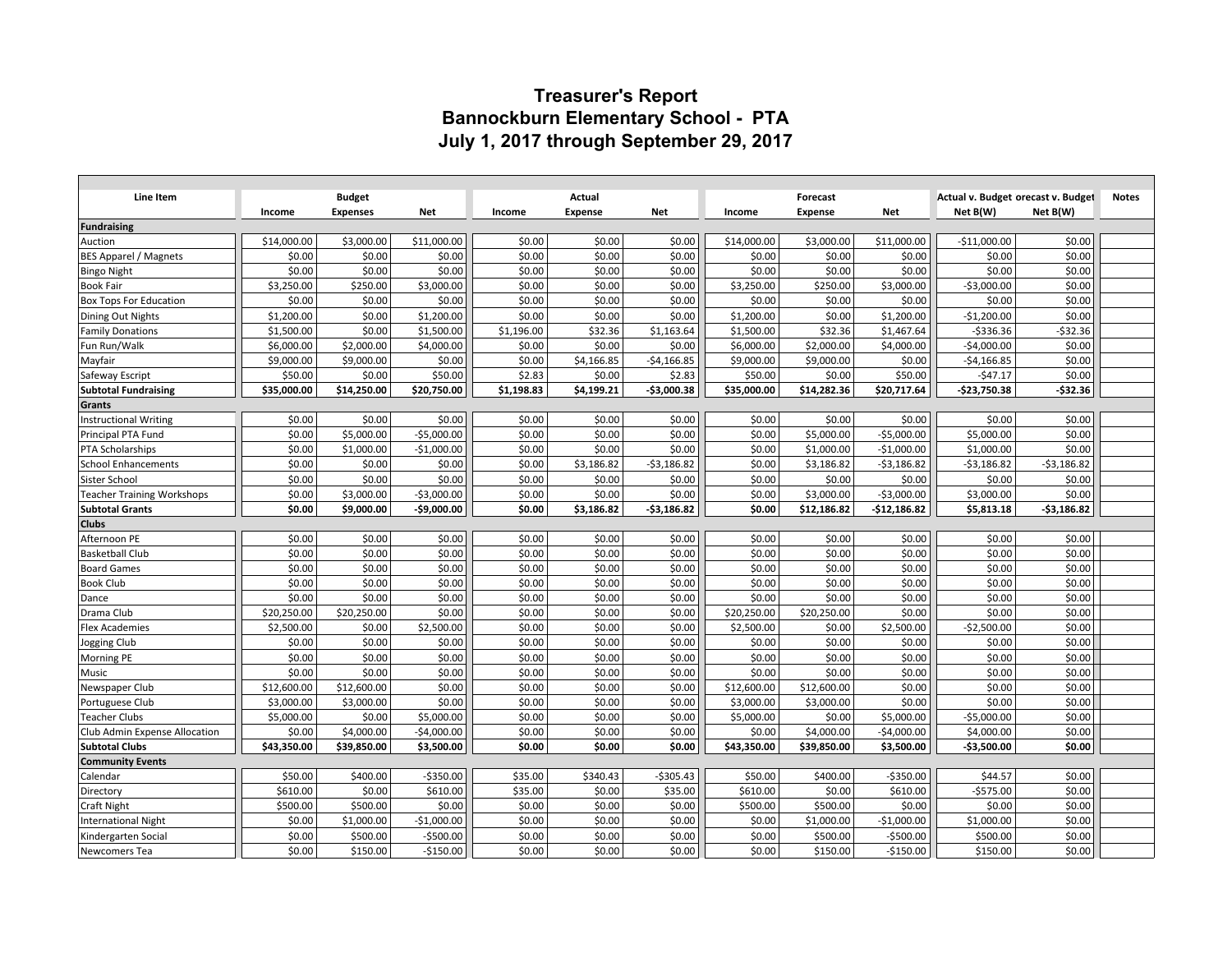## **Treasurer's Report Bannockburn Elementary School - PTA July 1, 2017 through September 29, 2017**

|                                        |             |                 |              | Actual     |                |              |             |                |               | Actual v. Budget orecast v. Budget |              |              |
|----------------------------------------|-------------|-----------------|--------------|------------|----------------|--------------|-------------|----------------|---------------|------------------------------------|--------------|--------------|
| Line Item                              |             | <b>Budget</b>   |              |            |                |              |             | Forecast       |               |                                    |              | <b>Notes</b> |
|                                        | Income      | <b>Expenses</b> | <b>Net</b>   | Income     | <b>Expense</b> | <b>Net</b>   | Income      | <b>Expense</b> | <b>Net</b>    | Net B(W)                           | Net B(W)     |              |
| Fundraising                            | \$14,000.00 | \$3,000.00      | \$11,000.00  | \$0.00     | \$0.00         | \$0.00       | \$14,000.00 | \$3,000.00     | \$11,000.00   | $-$11,000.00$                      | \$0.00       |              |
| Auction                                | \$0.00      | \$0.00          | \$0.00       | \$0.00     | \$0.00         | \$0.00       | \$0.00      | \$0.00         | \$0.00        | \$0.00                             | \$0.00       |              |
| <b>BES Apparel / Magnets</b>           | \$0.00      | \$0.00          | \$0.00       | \$0.00     | \$0.00         | \$0.00       | \$0.00      | \$0.00         | \$0.00        | \$0.00                             | \$0.00       |              |
| <b>Bingo Night</b><br><b>Book Fair</b> | \$3,250.00  | \$250.00        | \$3,000.00   | \$0.00     | \$0.00         | \$0.00       | \$3,250.00  | \$250.00       | \$3,000.00    | $-$3,000.00$                       | \$0.00       |              |
| <b>Box Tops For Education</b>          | \$0.00      | \$0.00          | \$0.00       | \$0.00     | \$0.00         | \$0.00       | \$0.00      | \$0.00         | \$0.00        | \$0.00                             | \$0.00       |              |
| Dining Out Nights                      | \$1,200.00  | \$0.00          | \$1,200.00   | \$0.00     | \$0.00         | \$0.00       | \$1,200.00  | \$0.00         | \$1,200.00    | $-$1,200.00$                       | \$0.00       |              |
| <b>Family Donations</b>                | \$1,500.00  | \$0.00          | \$1,500.00   | \$1,196.00 | \$32.36        | \$1,163.64   | \$1,500.00  | \$32.36        | \$1,467.64    | $-5336.36$                         | $-532.36$    |              |
| Fun Run/Walk                           | \$6,000.00  | \$2,000.00      | \$4,000.00   | \$0.00     | \$0.00         | \$0.00       | \$6,000.00  | \$2,000.00     | \$4,000.00    | $-$4,000.00$                       | \$0.00       |              |
| Mayfair                                | \$9,000.00  | \$9,000.00      | \$0.00       | \$0.00     | \$4,166.85     | $-$4,166.85$ | \$9,000.00  | \$9,000.00     | \$0.00        | $-$4,166.85$                       | \$0.00       |              |
| Safeway Escript                        | \$50.00     | \$0.00          | \$50.00      | \$2.83     | \$0.00         | \$2.83       | \$50.00     | \$0.00         | \$50.00       | $-547.17$                          | \$0.00       |              |
| <b>Subtotal Fundraising</b>            | \$35,000.00 | \$14,250.00     | \$20,750.00  | \$1,198.83 | \$4,199.21     | -\$3,000.38  | \$35,000.00 | \$14,282.36    | \$20,717.64   | -\$23,750.38                       | $-$32.36$    |              |
| Grants                                 |             |                 |              |            |                |              |             |                |               |                                    |              |              |
| <b>Instructional Writing</b>           | \$0.00      | \$0.00          | \$0.00       | \$0.00     | \$0.00         | \$0.00       | \$0.00      | \$0.00         | \$0.00        | \$0.00                             | \$0.00       |              |
| Principal PTA Fund                     | \$0.00      | \$5,000.00      | $-$5,000.00$ | \$0.00     | \$0.00         | \$0.00       | \$0.00      | \$5,000.00     | $-$5,000.00$  | \$5,000.00                         | \$0.00       |              |
| PTA Scholarships                       | \$0.00      | \$1,000.00      | $-$1,000.00$ | \$0.00     | \$0.00         | \$0.00       | \$0.00      | \$1,000.00     | $-$1,000.00$  | \$1,000.00                         | \$0.00       |              |
| <b>School Enhancements</b>             | \$0.00      | \$0.00          | \$0.00       | \$0.00     | \$3,186.82     | $-53,186.82$ | \$0.00      | \$3,186.82     | $-53,186.82$  | $-53,186.82$                       | $-53,186.82$ |              |
| Sister School                          | \$0.00      | \$0.00          | \$0.00       | \$0.00     | \$0.00         | \$0.00       | \$0.00      | \$0.00         | \$0.00        | \$0.00                             | \$0.00       |              |
| <b>Teacher Training Workshops</b>      | \$0.00      | \$3,000.00      | $-$3,000.00$ | \$0.00     | \$0.00         | \$0.00       | \$0.00      | \$3,000.00     | $-53,000.00$  | \$3,000.00                         | \$0.00       |              |
| <b>Subtotal Grants</b>                 | \$0.00      | \$9,000.00      | -\$9,000.00  | \$0.00     | \$3,186.82     | -\$3,186.82  | \$0.00      | \$12,186.82    | $-$12,186.82$ | \$5,813.18                         | -\$3,186.82  |              |
| <b>Clubs</b>                           |             |                 |              |            |                |              |             |                |               |                                    |              |              |
| Afternoon PE                           | \$0.00      | \$0.00          | \$0.00       | \$0.00     | \$0.00         | \$0.00       | \$0.00      | \$0.00         | \$0.00        | \$0.00                             | \$0.00       |              |
| <b>Basketball Club</b>                 | \$0.00      | \$0.00          | \$0.00       | \$0.00     | \$0.00         | \$0.00       | \$0.00      | \$0.00         | \$0.00        | \$0.00                             | \$0.00       |              |
| <b>Board Games</b>                     | \$0.00      | \$0.00          | \$0.00       | \$0.00     | \$0.00         | \$0.00       | \$0.00      | \$0.00         | \$0.00        | \$0.00                             | \$0.00       |              |
| <b>Book Club</b>                       | \$0.00      | \$0.00          | \$0.00       | \$0.00     | \$0.00         | \$0.00       | \$0.00      | \$0.00         | \$0.00        | \$0.00                             | \$0.00       |              |
| Dance                                  | \$0.00      | \$0.00          | \$0.00       | \$0.00     | \$0.00         | \$0.00       | \$0.00      | \$0.00         | \$0.00        | \$0.00                             | \$0.00       |              |
| Drama Club                             | \$20,250.00 | \$20,250.00     | \$0.00       | \$0.00     | \$0.00         | \$0.00       | \$20,250.00 | \$20,250.00    | \$0.00        | \$0.00                             | \$0.00       |              |
| <b>Flex Academies</b>                  | \$2,500.00  | \$0.00          | \$2,500.00   | \$0.00     | \$0.00         | \$0.00       | \$2,500.00  | \$0.00         | \$2,500.00    | $-$2,500.00$                       | \$0.00       |              |
| Jogging Club                           | \$0.00      | \$0.00          | \$0.00       | \$0.00     | \$0.00         | \$0.00       | \$0.00      | \$0.00         | \$0.00        | \$0.00                             | \$0.00       |              |
| Morning PE                             | \$0.00      | \$0.00          | \$0.00       | \$0.00     | \$0.00         | \$0.00       | \$0.00      | \$0.00         | \$0.00        | \$0.00                             | \$0.00       |              |
| Music                                  | \$0.00      | \$0.00          | \$0.00       | \$0.00     | \$0.00         | \$0.00       | \$0.00      | \$0.00         | \$0.00        | \$0.00                             | \$0.00       |              |
| Newspaper Club                         | \$12,600.00 | \$12,600.00     | \$0.00       | \$0.00     | \$0.00         | \$0.00       | \$12,600.00 | \$12,600.00    | \$0.00        | \$0.00                             | \$0.00       |              |
| Portuguese Club                        | \$3,000.00  | \$3,000.00      | \$0.00       | \$0.00     | \$0.00         | \$0.00       | \$3,000.00  | \$3,000.00     | \$0.00        | \$0.00                             | \$0.00       |              |
| <b>Teacher Clubs</b>                   | \$5,000.00  | \$0.00          | \$5,000.00   | \$0.00     | \$0.00         | \$0.00       | \$5,000.00  | \$0.00         | \$5,000.00    | $-$5,000.00$                       | \$0.00       |              |
| Club Admin Expense Allocation          | \$0.00      | \$4,000.00      | $-$4,000.00$ | \$0.00     | \$0.00         | \$0.00       | \$0.00      | \$4,000.00     | $-$4,000.00$  | \$4,000.00                         | \$0.00       |              |
| <b>Subtotal Clubs</b>                  | \$43,350.00 | \$39,850.00     | \$3,500.00   | \$0.00     | \$0.00         | \$0.00       | \$43,350.00 | \$39,850.00    | \$3,500.00    | -\$3,500.00                        | \$0.00       |              |
| <b>Community Events</b>                |             |                 |              |            |                |              |             |                |               |                                    |              |              |
| Calendar                               | \$50.00     | \$400.00        | $-$350.00$   | \$35.00    | \$340.43       | $-5305.43$   | \$50.00     | \$400.00       | $-5350.00$    | \$44.57                            | \$0.00       |              |
| Directory                              | \$610.00    | \$0.00          | \$610.00     | \$35.00    | \$0.00         | \$35.00      | \$610.00    | \$0.00         | \$610.00      | $-$575.00$                         | \$0.00       |              |
| Craft Night                            | \$500.00    | \$500.00        | \$0.00       | \$0.00     | \$0.00         | \$0.00       | \$500.00    | \$500.00       | \$0.00        | \$0.00                             | \$0.00       |              |
| <b>International Night</b>             | \$0.00      | \$1,000.00      | $-$1,000.00$ | \$0.00     | \$0.00         | \$0.00       | \$0.00      | \$1,000.00     | $-$1,000.00$  | \$1,000.00                         | \$0.00       |              |
| Kindergarten Social                    | \$0.00      | \$500.00        | $-$500.00$   | \$0.00     | \$0.00         | \$0.00       | \$0.00      | \$500.00       | $-$500.00$    | \$500.00                           | \$0.00       |              |
| Newcomers Tea                          | \$0.00      | \$150.00        | $-$150.00$   | \$0.00     | \$0.00         | \$0.00       | \$0.00      | \$150.00       | $-$150.00$    | \$150.00                           | \$0.00       |              |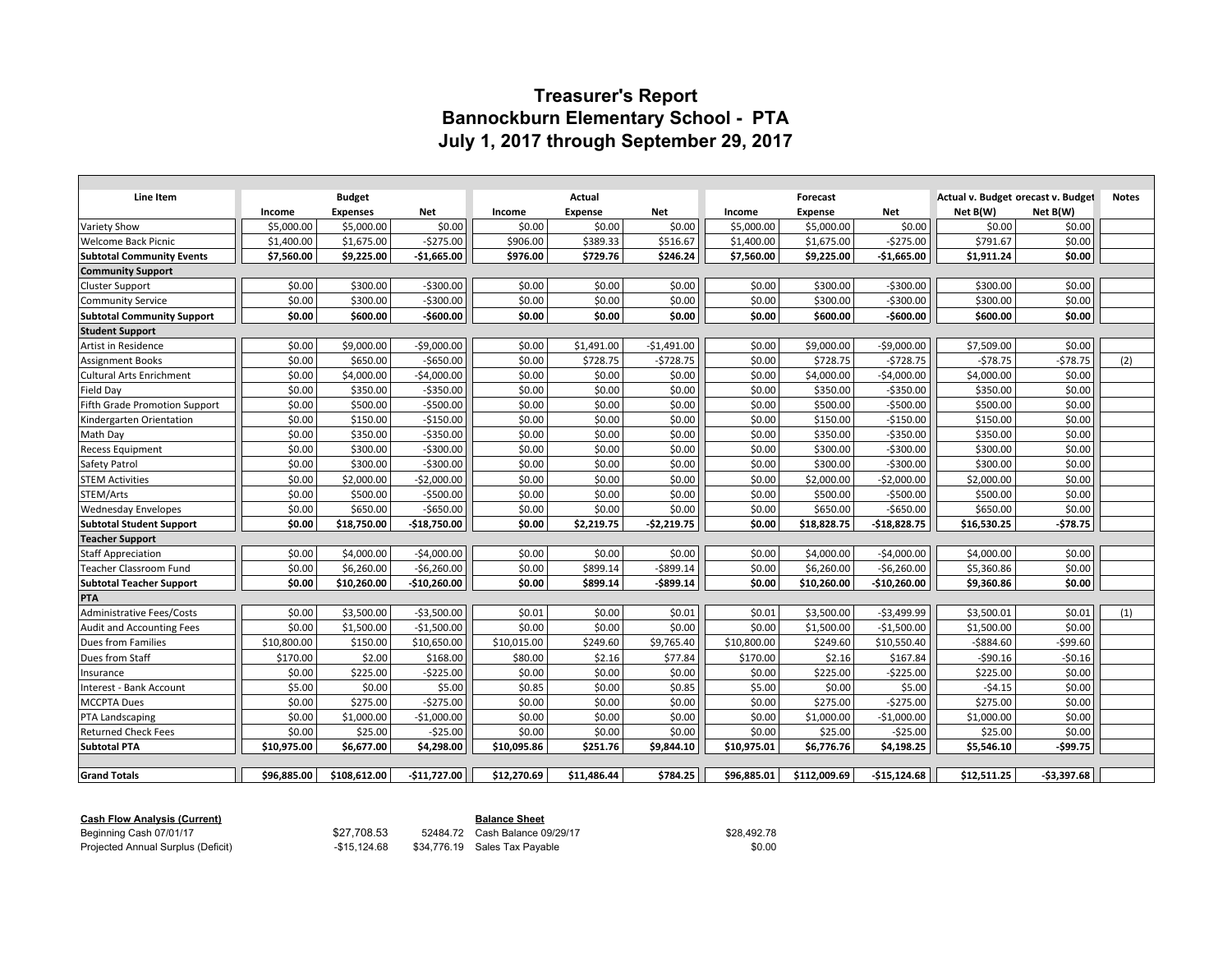## **Treasurer's Report Bannockburn Elementary School - PTA July 1, 2017 through September 29, 2017**

| Line Item                         | <b>Budget</b> |                 |               | Actual      |                |              |             | Forecast       |               | Actual v. Budget orecast v. Budget | <b>Notes</b> |     |
|-----------------------------------|---------------|-----------------|---------------|-------------|----------------|--------------|-------------|----------------|---------------|------------------------------------|--------------|-----|
|                                   | Income        | <b>Expenses</b> | Net           | Income      | <b>Expense</b> | <b>Net</b>   | Income      | <b>Expense</b> | Net           | Net B(W)                           | Net B(W)     |     |
| Variety Show                      | \$5,000.00    | \$5,000.00      | \$0.00        | \$0.00      | \$0.00         | \$0.00       | \$5,000.00  | \$5,000.00     | \$0.00        | \$0.00                             | \$0.00       |     |
| <b>Welcome Back Picnic</b>        | \$1,400.00    | \$1,675.00      | $-5275.00$    | \$906.00    | \$389.33       | \$516.67     | \$1,400.00  | \$1,675.00     | $-5275.00$    | \$791.67                           | \$0.00       |     |
| <b>Subtotal Community Events</b>  | \$7,560.00    | \$9,225.00      | $-$1,665.00$  | \$976.00    | \$729.76       | \$246.24     | \$7,560.00  | \$9,225.00     | $-$1,665.00$  | \$1,911.24                         | \$0.00       |     |
| <b>Community Support</b>          |               |                 |               |             |                |              |             |                |               |                                    |              |     |
| <b>Cluster Support</b>            | \$0.00        | \$300.00        | $-5300.00$    | \$0.00      | \$0.00         | \$0.00       | \$0.00      | \$300.00       | $-5300.00$    | \$300.00                           | \$0.00       |     |
| Community Service                 | \$0.00        | \$300.00        | $-5300.00$    | \$0.00      | \$0.00         | \$0.00       | \$0.00      | \$300.00       | $-5300.00$    | \$300.00                           | \$0.00       |     |
| <b>Subtotal Community Support</b> | \$0.00        | \$600.00        | $-$600.00$    | \$0.00      | \$0.00         | \$0.00       | \$0.00      | \$600.00       | $-$600.00$    | \$600.00                           | \$0.00       |     |
| <b>Student Support</b>            |               |                 |               |             |                |              |             |                |               |                                    |              |     |
| Artist in Residence               | \$0.00        | \$9,000.00      | -\$9,000.00   | \$0.00      | \$1,491.00     | $-$1,491.00$ | \$0.00      | \$9,000.00     | $-$9,000.00$  | \$7,509.00                         | \$0.00       |     |
| <b>Assignment Books</b>           | \$0.00        | \$650.00        | $-$650.00$    | \$0.00      | \$728.75       | $-5728.75$   | \$0.00      | \$728.75       | $-5728.75$    | $-578.75$                          | $-578.75$    | (2) |
| <b>Cultural Arts Enrichment</b>   | \$0.00        | \$4,000.00      | $-$4,000.00$  | \$0.00      | \$0.00         | \$0.00       | \$0.00      | \$4,000.00     | $-$4,000.00$  | \$4,000.00                         | \$0.00       |     |
| <b>Field Day</b>                  | \$0.00        | \$350.00        | $-5350.00$    | \$0.00      | \$0.00         | \$0.00       | \$0.00      | \$350.00       | $-$350.00$    | \$350.00                           | \$0.00       |     |
| Fifth Grade Promotion Support     | \$0.00        | \$500.00        | $-5500.00$    | \$0.00      | \$0.00         | \$0.00       | \$0.00      | \$500.00       | $-$500.00$    | \$500.00                           | \$0.00       |     |
| Kindergarten Orientation          | \$0.00        | \$150.00        | $-$150.00$    | \$0.00      | \$0.00         | \$0.00       | \$0.00      | \$150.00       | $-$150.00$    | \$150.00                           | \$0.00       |     |
| Math Day                          | \$0.00        | \$350.00        | $-5350.00$    | \$0.00      | \$0.00         | \$0.00       | \$0.00      | \$350.00       | $-5350.00$    | \$350.00                           | \$0.00       |     |
| <b>Recess Equipment</b>           | \$0.00        | \$300.00        | $-5300.00$    | \$0.00      | \$0.00         | \$0.00       | \$0.00      | \$300.00       | $-$300.00$    | \$300.00                           | \$0.00       |     |
| Safety Patrol                     | \$0.00        | \$300.00        | $-5300.00$    | \$0.00      | \$0.00         | \$0.00       | \$0.00      | \$300.00       | $-5300.00$    | \$300.00                           | \$0.00       |     |
| <b>STEM Activities</b>            | \$0.00        | \$2,000.00      | $-$2,000.00$  | \$0.00      | \$0.00         | \$0.00       | \$0.00      | \$2,000.00     | $-$2,000.00$  | \$2,000.00                         | \$0.00       |     |
| STEM/Arts                         | \$0.00        | \$500.00        | $-$500.00$    | \$0.00      | \$0.00         | \$0.00       | \$0.00      | \$500.00       | $-$500.00$    | \$500.00                           | \$0.00       |     |
| <b>Wednesday Envelopes</b>        | \$0.00        | \$650.00        | $-$ \$650.00  | \$0.00      | \$0.00         | \$0.00       | \$0.00      | \$650.00       | $-$650.00$    | \$650.00                           | \$0.00       |     |
| <b>Subtotal Student Support</b>   | \$0.00        | \$18,750.00     | $-$18,750.00$ | \$0.00      | \$2,219.75     | $-$2,219.75$ | \$0.00      | \$18,828.75    | $-$18,828.75$ | \$16,530.25                        | $-578.75$    |     |
| Teacher Support                   |               |                 |               |             |                |              |             |                |               |                                    |              |     |
| <b>Staff Appreciation</b>         | \$0.00        | \$4,000.00      | $-54,000.00$  | \$0.00      | \$0.00         | \$0.00       | \$0.00      | \$4,000.00     | $-$4,000.00$  | \$4,000.00                         | \$0.00       |     |
| <b>Teacher Classroom Fund</b>     | \$0.00        | \$6,260.00      | $-$6,260.00$  | \$0.00      | \$899.14       | $-$ \$899.14 | \$0.00      | \$6,260.00     | $-$6,260.00$  | \$5,360.86                         | \$0.00       |     |
| <b>Subtotal Teacher Support</b>   | \$0.00        | \$10,260.00     | $-$10,260.00$ | \$0.00      | \$899.14       | -\$899.14    | \$0.00      | \$10,260.00    | $-$10,260.00$ | \$9,360.86                         | \$0.00       |     |
| <b>PTA</b>                        |               |                 |               |             |                |              |             |                |               |                                    |              |     |
| <b>Administrative Fees/Costs</b>  | \$0.00        | \$3,500.00      | $-53,500.00$  | \$0.01      | \$0.00         | \$0.01       | \$0.01      | \$3,500.00     | $-53,499.99$  | \$3,500.01                         | \$0.01       | (1) |
| <b>Audit and Accounting Fees</b>  | \$0.00        | \$1,500.00      | $-$1,500.00$  | \$0.00      | \$0.00         | \$0.00       | \$0.00      | \$1,500.00     | $-$1,500.00$  | \$1,500.00                         | \$0.00       |     |
| Dues from Families                | \$10,800.00   | \$150.00        | \$10,650.00   | \$10,015.00 | \$249.60       | \$9,765.40   | \$10,800.00 | \$249.60       | \$10,550.40   | $-5884.60$                         | $-$99.60$    |     |
| Dues from Staff                   | \$170.00      | \$2.00          | \$168.00      | \$80.00     | \$2.16         | \$77.84      | \$170.00    | \$2.16         | \$167.84      | $-590.16$                          | $-50.16$     |     |
| Insurance                         | \$0.00        | \$225.00        | $-5225.00$    | \$0.00      | \$0.00         | \$0.00       | \$0.00      | \$225.00       | $-$225.00$    | \$225.00                           | \$0.00       |     |
| Interest - Bank Account           | \$5.00        | \$0.00          | \$5.00        | \$0.85      | \$0.00         | \$0.85       | \$5.00      | \$0.00         | \$5.00        | $-54.15$                           | \$0.00       |     |
| MCCPTA Dues                       | \$0.00        | \$275.00        | $-5275.00$    | \$0.00      | \$0.00         | \$0.00       | \$0.00      | \$275.00       | $-$275.00$    | \$275.00                           | \$0.00       |     |
| <b>PTA Landscaping</b>            | \$0.00        | \$1,000.00      | $-$1,000.00$  | \$0.00      | \$0.00         | \$0.00       | \$0.00      | \$1,000.00     | $-$1,000.00$  | \$1,000.00                         | \$0.00       |     |
| Returned Check Fees               | \$0.00        | \$25.00         | $-$25.00$     | \$0.00      | \$0.00         | \$0.00       | \$0.00      | \$25.00        | $-525.00$     | \$25.00                            | \$0.00       |     |
| <b>Subtotal PTA</b>               | \$10.975.00   | \$6,677.00      | \$4,298.00    | \$10.095.86 | \$251.76       | \$9.844.10   | \$10.975.01 | \$6,776.76     | \$4,198.25    | \$5.546.10                         | -\$99.75     |     |
|                                   |               |                 |               |             |                |              |             |                |               |                                    |              |     |
| <b>Grand Totals</b>               | \$96.885.00   | \$108,612.00    | $-$11,727.00$ | \$12,270.69 | \$11.486.44    | \$784.25     | \$96.885.01 | \$112,009.69   | $-$15,124.68$ | \$12,511.25                        | $-53.397.68$ |     |

| <b>Cash Flow Analysis (Current)</b> | <b>Balance Sheet</b> |  |                                |             |  |  |
|-------------------------------------|----------------------|--|--------------------------------|-------------|--|--|
| Beginning Cash 07/01/17             | \$27,708.53          |  | 52484.72 Cash Balance 09/29/17 | \$28.492.78 |  |  |
| Projected Annual Surplus (Deficit)  | -\$15.124.68         |  | \$34,776.19 Sales Tax Payable  | \$0.00      |  |  |